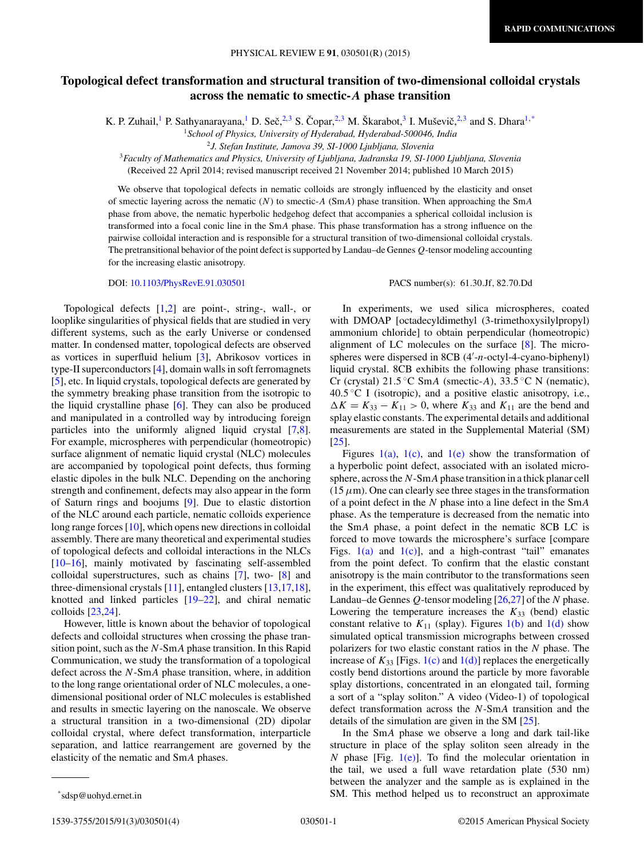# **Topological defect transformation and structural transition of two-dimensional colloidal crystals across the nematic to smectic-***A* **phase transition**

K. P. Zuhail,<sup>1</sup> P. Sathyanarayana,<sup>1</sup> D. Seč,<sup>2,3</sup> S. Čopar,<sup>2,3</sup> M. Škarabot,<sup>3</sup> I. Muševič,<sup>2,3</sup> and S. Dhara<sup>1,\*</sup>

<sup>1</sup>*School of Physics, University of Hyderabad, Hyderabad-500046, India*

<sup>2</sup>*J. Stefan Institute, Jamova 39, SI-1000 Ljubljana, Slovenia*

<sup>3</sup>*Faculty of Mathematics and Physics, University of Ljubljana, Jadranska 19, SI-1000 Ljubljana, Slovenia*

(Received 22 April 2014; revised manuscript received 21 November 2014; published 10 March 2015)

We observe that topological defects in nematic colloids are strongly influenced by the elasticity and onset of smectic layering across the nematic  $(N)$  to smectic-A (SmA) phase transition. When approaching the SmA phase from above, the nematic hyperbolic hedgehog defect that accompanies a spherical colloidal inclusion is transformed into a focal conic line in the SmA phase. This phase transformation has a strong influence on the pairwise colloidal interaction and is responsible for a structural transition of two-dimensional colloidal crystals. The pretransitional behavior of the point defect is supported by Landau–de Gennes Q-tensor modeling accounting for the increasing elastic anisotropy.

Topological defects [\[1,2\]](#page-3-0) are point-, string-, wall-, or looplike singularities of physical fields that are studied in very different systems, such as the early Universe or condensed matter. In condensed matter, topological defects are observed as vortices in superfluid helium [\[3\]](#page-3-0), Abrikosov vortices in type-II superconductors [\[4\]](#page-3-0), domain walls in soft ferromagnets [\[5\]](#page-3-0), etc. In liquid crystals, topological defects are generated by the symmetry breaking phase transition from the isotropic to the liquid crystalline phase [\[6\]](#page-3-0). They can also be produced and manipulated in a controlled way by introducing foreign particles into the uniformly aligned liquid crystal [\[7,8\]](#page-3-0). For example, microspheres with perpendicular (homeotropic) surface alignment of nematic liquid crystal (NLC) molecules are accompanied by topological point defects, thus forming elastic dipoles in the bulk NLC. Depending on the anchoring strength and confinement, defects may also appear in the form of Saturn rings and boojums [\[9\]](#page-3-0). Due to elastic distortion of the NLC around each particle, nematic colloids experience long range forces [\[10\]](#page-3-0), which opens new directions in colloidal assembly. There are many theoretical and experimental studies of topological defects and colloidal interactions in the NLCs [\[10–16\]](#page-3-0), mainly motivated by fascinating self-assembled colloidal superstructures, such as chains [\[7\]](#page-3-0), two- [\[8\]](#page-3-0) and three-dimensional crystals [\[11\]](#page-3-0), entangled clusters [\[13,17,18\]](#page-3-0), knotted and linked particles [\[19–22\]](#page-3-0), and chiral nematic colloids [\[23,24\]](#page-3-0).

However, little is known about the behavior of topological defects and colloidal structures when crossing the phase transition point, such as the  $N$ -SmA phase transition. In this Rapid Communication, we study the transformation of a topological defect across the N-SmA phase transition, where, in addition to the long range orientational order of NLC molecules, a onedimensional positional order of NLC molecules is established and results in smectic layering on the nanoscale. We observe a structural transition in a two-dimensional (2D) dipolar colloidal crystal, where defect transformation, interparticle separation, and lattice rearrangement are governed by the elasticity of the nematic and SmA phases.

### DOI: [10.1103/PhysRevE.91.030501](http://dx.doi.org/10.1103/PhysRevE.91.030501) PACS number(s): 61.30.Jf, 82.70.Dd

In experiments, we used silica microspheres, coated with DMOAP [octadecyldimethyl (3-trimethoxysilylpropyl) ammonium chloride] to obtain perpendicular (homeotropic) alignment of LC molecules on the surface [\[8\]](#page-3-0). The microspheres were dispersed in 8CB (4'-n-octyl-4-cyano-biphenyl) liquid crystal. 8CB exhibits the following phase transitions: Cr (crystal) 21.5 °C SmA (smectic-A), 33.5 °C N (nematic), 40.5 ◦C I (isotropic), and a positive elastic anisotropy, i.e.,  $\Delta K = K_{33} - K_{11} > 0$ , where  $K_{33}$  and  $K_{11}$  are the bend and splay elastic constants. The experimental details and additional measurements are stated in the Supplemental Material (SM) [\[25\]](#page-3-0).

Figures  $1(a)$ ,  $1(c)$ , and  $1(e)$  show the transformation of a hyperbolic point defect, associated with an isolated microsphere, across the N-SmA phase transition in a thick planar cell  $(15 \mu m)$ . One can clearly see three stages in the transformation of a point defect in the N phase into a line defect in the SmA phase. As the temperature is decreased from the nematic into the SmA phase, a point defect in the nematic 8CB LC is forced to move towards the microsphere's surface [compare Figs.  $1(a)$  and  $1(c)$ ], and a high-contrast "tail" emanates from the point defect. To confirm that the elastic constant anisotropy is the main contributor to the transformations seen in the experiment, this effect was qualitatively reproduced by Landau–de Gennes Q-tensor modeling [\[26,27\]](#page-3-0) of the N phase. Lowering the temperature increases the  $K_{33}$  (bend) elastic constant relative to  $K_{11}$  (splay). Figures [1\(b\)](#page-1-0) and [1\(d\)](#page-1-0) show simulated optical transmission micrographs between crossed polarizers for two elastic constant ratios in the N phase. The increase of  $K_{33}$  [Figs. [1\(c\)](#page-1-0) and [1\(d\)\]](#page-1-0) replaces the energetically costly bend distortions around the particle by more favorable splay distortions, concentrated in an elongated tail, forming a sort of a "splay soliton." A video (Video-1) of topological defect transformation across the N-SmA transition and the details of the simulation are given in the SM [\[25\]](#page-3-0).

In the SmA phase we observe a long and dark tail-like structure in place of the splay soliton seen already in the N phase [Fig.  $1(e)$ ]. To find the molecular orientation in the tail, we used a full wave retardation plate (530 nm) between the analyzer and the sample as is explained in the SM. This method helped us to reconstruct an approximate

<sup>\*</sup>sdsp@uohyd.ernet.in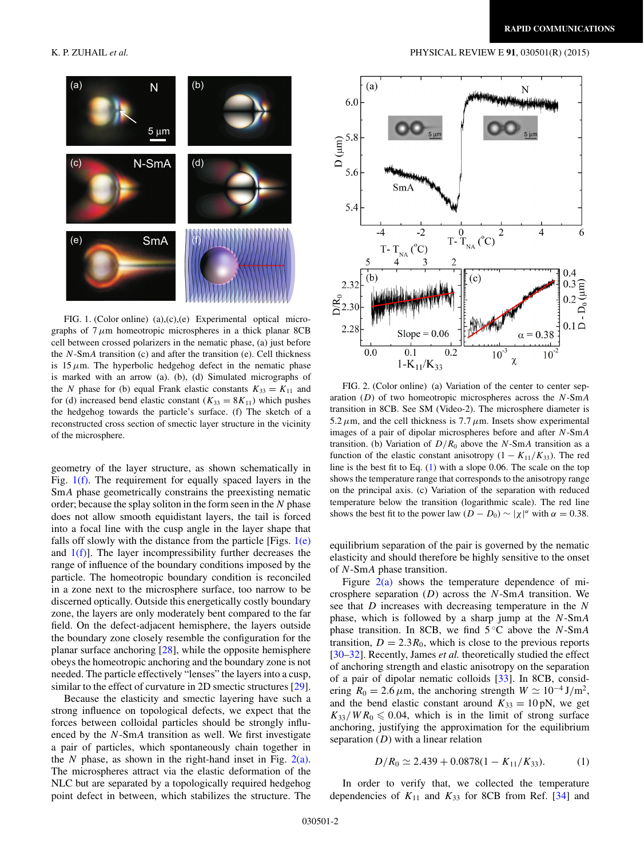

FIG. 1. (Color online) (a),(c),(e) Experimental optical micrographs of  $7 \mu$ m homeotropic microspheres in a thick planar 8CB cell between crossed polarizers in the nematic phase, (a) just before the  $N$ -SmA transition (c) and after the transition (e). Cell thickness is  $15 \mu$ m. The hyperbolic hedgehog defect in the nematic phase is marked with an arrow (a). (b), (d) Simulated micrographs of the N phase for (b) equal Frank elastic constants  $K_{33} = K_{11}$  and for (d) increased bend elastic constant ( $K_{33} = 8K_{11}$ ) which pushes the hedgehog towards the particle's surface. (f) The sketch of a reconstructed cross section of smectic layer structure in the vicinity of the microsphere.

geometry of the layer structure, as shown schematically in Fig.  $1(f)$ . The requirement for equally spaced layers in the SmA phase geometrically constrains the preexisting nematic order; because the splay soliton in the form seen in the  $N$  phase does not allow smooth equidistant layers, the tail is forced into a focal line with the cusp angle in the layer shape that falls off slowly with the distance from the particle [Figs.  $1(e)$ ] and  $1(f)$ . The layer incompressibility further decreases the range of influence of the boundary conditions imposed by the particle. The homeotropic boundary condition is reconciled in a zone next to the microsphere surface, too narrow to be discerned optically. Outside this energetically costly boundary zone, the layers are only moderately bent compared to the far field. On the defect-adjacent hemisphere, the layers outside the boundary zone closely resemble the configuration for the planar surface anchoring [\[28\]](#page-3-0), while the opposite hemisphere obeys the homeotropic anchoring and the boundary zone is not needed. The particle effectively "lenses" the layers into a cusp, similar to the effect of curvature in 2D smectic structures [\[29\]](#page-3-0).

Because the elasticity and smectic layering have such a strong influence on topological defects, we expect that the forces between colloidal particles should be strongly influenced by the N-SmA transition as well. We first investigate a pair of particles, which spontaneously chain together in the  $N$  phase, as shown in the right-hand inset in Fig. 2(a). The microspheres attract via the elastic deformation of the NLC but are separated by a topologically required hedgehog point defect in between, which stabilizes the structure. The

#### <span id="page-1-0"></span>K. P. ZUHAIL *et al.* PHYSICAL REVIEW E **91**, 030501(R) (2015)



FIG. 2. (Color online) (a) Variation of the center to center separation  $(D)$  of two homeotropic microspheres across the  $N$ -SmA transition in 8CB. See SM (Video-2). The microsphere diameter is 5.2  $\mu$ m, and the cell thickness is 7.7  $\mu$ m. Insets show experimental images of a pair of dipolar microspheres before and after N-SmA transition. (b) Variation of  $D/R_0$  above the N-SmA transition as a function of the elastic constant anisotropy  $(1 - K_{11}/K_{33})$ . The red line is the best fit to Eq. (1) with a slope 0.06. The scale on the top shows the temperature range that corresponds to the anisotropy range on the principal axis. (c) Variation of the separation with reduced temperature below the transition (logarithmic scale). The red line shows the best fit to the power law  $(D - D_0) \sim |\chi|^\alpha$  with  $\alpha = 0.38$ .

equilibrium separation of the pair is governed by the nematic elasticity and should therefore be highly sensitive to the onset of N-SmA phase transition.

Figure  $2(a)$  shows the temperature dependence of microsphere separation  $(D)$  across the N-SmA transition. We see that D increases with decreasing temperature in the N phase, which is followed by a sharp jump at the N-SmA phase transition. In 8CB, we find  $5^{\circ}$ C above the N-SmA transition,  $D = 2.3R_0$ , which is close to the previous reports [\[30–32\]](#page-3-0). Recently, James *et al.* theoretically studied the effect of anchoring strength and elastic anisotropy on the separation of a pair of dipolar nematic colloids [\[33\]](#page-3-0). In 8CB, considering  $R_0 = 2.6 \,\mu\text{m}$ , the anchoring strength  $W \simeq 10^{-4} \,\text{J/m}^2$ , and the bend elastic constant around  $K_{33} = 10 \text{ pN}$ , we get  $K_{33}/WR_0 \leq 0.04$ , which is in the limit of strong surface anchoring, justifying the approximation for the equilibrium separation  $(D)$  with a linear relation

$$
D/R_0 \simeq 2.439 + 0.0878(1 - K_{11}/K_{33}).
$$
 (1)

In order to verify that, we collected the temperature dependencies of  $K_{11}$  and  $K_{33}$  for 8CB from Ref. [\[34\]](#page-3-0) and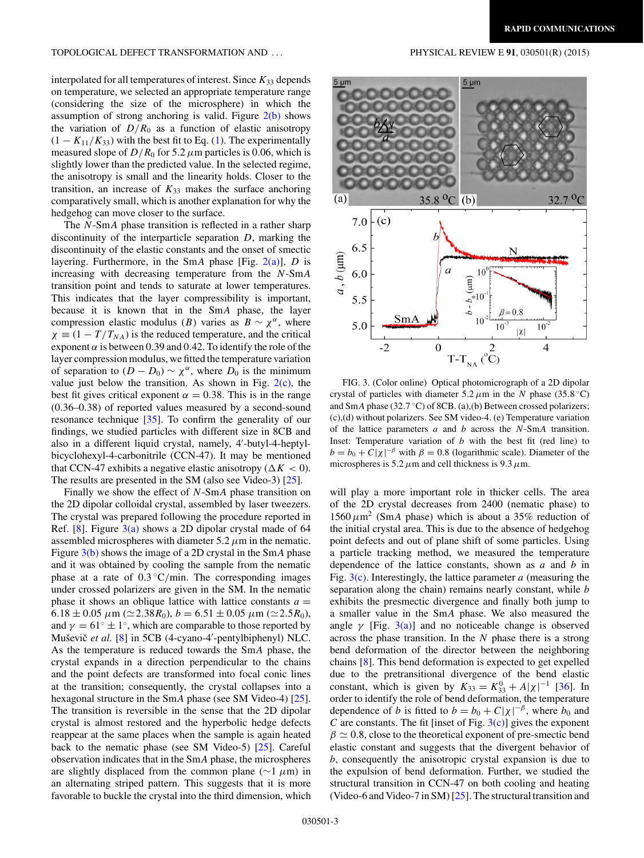## TOPOLOGICAL DEFECT TRANSFORMATION AND . . . PHYSICAL REVIEW E **91**, 030501(R) (2015)

interpolated for all temperatures of interest. Since  $K_{33}$  depends on temperature, we selected an appropriate temperature range (considering the size of the microsphere) in which the assumption of strong anchoring is valid. Figure  $2(b)$  shows the variation of  $D/R_0$  as a function of elastic anisotropy  $(1 - K_{11}/K_{33})$  with the best fit to Eq. [\(1\)](#page-1-0). The experimentally measured slope of  $D/R_0$  for 5.2  $\mu$ m particles is 0.06, which is slightly lower than the predicted value. In the selected regime, the anisotropy is small and the linearity holds. Closer to the transition, an increase of  $K_{33}$  makes the surface anchoring comparatively small, which is another explanation for why the hedgehog can move closer to the surface.

The N-SmA phase transition is reflected in a rather sharp discontinuity of the interparticle separation  $D$ , marking the discontinuity of the elastic constants and the onset of smectic layering. Furthermore, in the SmA phase [Fig.  $2(a)$ ], D is increasing with decreasing temperature from the N-SmA transition point and tends to saturate at lower temperatures. This indicates that the layer compressibility is important, because it is known that in the SmA phase, the layer compression elastic modulus (B) varies as  $B \sim \chi^{\alpha}$ , where  $\chi \equiv (1 - T/T_{NA})$  is the reduced temperature, and the critical exponent  $\alpha$  is between 0.39 and 0.42. To identify the role of the layer compression modulus, we fitted the temperature variation of separation to  $(D - D_0) \sim \chi^{\alpha}$ , where  $D_0$  is the minimum value just below the transition. As shown in Fig.  $2(c)$ , the best fit gives critical exponent  $\alpha = 0.38$ . This is in the range (0.36–0.38) of reported values measured by a second-sound resonance technique  $\left[35\right]$ . To confirm the generality of our findings, we studied particles with different size in 8CB and also in a different liquid crystal, namely, 4'-butyl-4-heptylbicyclohexyl-4-carbonitrile (CCN-47). It may be mentioned that CCN-47 exhibits a negative elastic anisotropy ( $\Delta K < 0$ ). The results are presented in the SM (also see Video-3) [\[25\]](#page-3-0).

Finally we show the effect of N-SmA phase transition on the 2D dipolar colloidal crystal, assembled by laser tweezers. The crystal was prepared following the procedure reported in Ref. [\[8\]](#page-3-0). Figure  $3(a)$  shows a 2D dipolar crystal made of 64 assembled microspheres with diameter  $5.2 \mu m$  in the nematic. Figure  $3(b)$  shows the image of a 2D crystal in the SmA phase and it was obtained by cooling the sample from the nematic phase at a rate of  $0.3 \degree C/\text{min}$ . The corresponding images under crossed polarizers are given in the SM. In the nematic phase it shows an oblique lattice with lattice constants  $a =$  $6.18 \pm 0.05 \ \mu \text{m} \ (\simeq 2.38 R_0), b = 6.51 \pm 0.05 \ \mu \text{m} \ (\simeq 2.5 R_0),$ and  $\gamma = 61^\circ \pm 1^\circ$ , which are comparable to those reported by Muševič et al. [\[8\]](#page-3-0) in 5CB (4-cyano-4'-pentylbiphenyl) NLC. As the temperature is reduced towards the SmA phase, the crystal expands in a direction perpendicular to the chains and the point defects are transformed into focal conic lines at the transition; consequently, the crystal collapses into a hexagonal structure in the SmA phase (see SM Video-4) [\[25\]](#page-3-0). The transition is reversible in the sense that the 2D dipolar crystal is almost restored and the hyperbolic hedge defects reappear at the same places when the sample is again heated back to the nematic phase (see SM Video-5) [\[25\]](#page-3-0). Careful observation indicates that in the SmA phase, the microspheres are slightly displaced from the common plane ( $\sim$ 1  $\mu$ m) in an alternating striped pattern. This suggests that it is more favorable to buckle the crystal into the third dimension, which



FIG. 3. (Color online) Optical photomicrograph of a 2D dipolar crystal of particles with diameter  $5.2 \mu$ m in the N phase (35.8 °C) and SmA phase (32.7 °C) of 8CB. (a),(b) Between crossed polarizers; (c),(d) without polarizers. See SM video-4. (e) Temperature variation of the lattice parameters  $a$  and  $b$  across the  $N-SmA$  transition. Inset: Temperature variation of  $b$  with the best fit (red line) to  $b = b_0 + C|\chi|^{-\beta}$  with  $\beta = 0.8$  (logarithmic scale). Diameter of the microspheres is 5.2  $\mu$ m and cell thickness is 9.3  $\mu$ m.

will play a more important role in thicker cells. The area of the 2D crystal decreases from 2400 (nematic phase) to  $1560 \mu m^2$  (SmA phase) which is about a 35% reduction of the initial crystal area. This is due to the absence of hedgehog point defects and out of plane shift of some particles. Using a particle tracking method, we measured the temperature dependence of the lattice constants, shown as  $a$  and  $b$  in Fig.  $3(c)$ . Interestingly, the lattice parameter a (measuring the separation along the chain) remains nearly constant, while b exhibits the presmectic divergence and finally both jump to a smaller value in the SmA phase. We also measured the angle  $\gamma$  [Fig. 3(a)] and no noticeable change is observed across the phase transition. In the  $N$  phase there is a strong bend deformation of the director between the neighboring chains [\[8\]](#page-3-0). This bend deformation is expected to get expelled due to the pretransitional divergence of the bend elastic constant, which is given by  $K_{33} = K_{33}^0 + A|\chi|^{-1}$  [\[36\]](#page-3-0). In order to identify the role of bend deformation, the temperature dependence of b is fitted to  $b = b_0 + C|\chi|^{-\beta}$ , where  $b_0$  and C are constants. The fit [inset of Fig.  $3(c)$ ] gives the exponent  $\beta \simeq 0.8$ , close to the theoretical exponent of pre-smectic bend elastic constant and suggests that the divergent behavior of b, consequently the anisotropic crystal expansion is due to the expulsion of bend deformation. Further, we studied the structural transition in CCN-47 on both cooling and heating (Video-6 and Video-7 in SM) [\[25\]](#page-3-0). The structural transition and